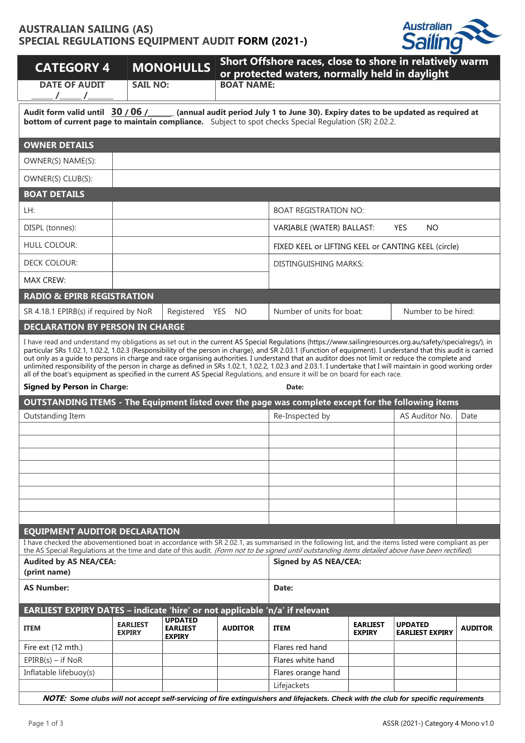## **AUSTRALIAN SAILING (AS) SPECIAL REGULATIONS EQUIPMENT AUDIT FORM (2021-)**



| <b>CATEGORY 4</b>                                                                                                                                                                                                                                                                                                                                                                                                                                                                                                                                                                                                                                                                                                                                                        |                                  | <b>MONOHULLS</b>                                   |                   | Short Offshore races, close to shore in relatively warm<br>or protected waters, normally held in daylight |                                  |                                          |                |  |  |  |
|--------------------------------------------------------------------------------------------------------------------------------------------------------------------------------------------------------------------------------------------------------------------------------------------------------------------------------------------------------------------------------------------------------------------------------------------------------------------------------------------------------------------------------------------------------------------------------------------------------------------------------------------------------------------------------------------------------------------------------------------------------------------------|----------------------------------|----------------------------------------------------|-------------------|-----------------------------------------------------------------------------------------------------------|----------------------------------|------------------------------------------|----------------|--|--|--|
| <b>DATE OF AUDIT</b><br>$/$ $/$                                                                                                                                                                                                                                                                                                                                                                                                                                                                                                                                                                                                                                                                                                                                          | <b>SAIL NO:</b>                  |                                                    | <b>BOAT NAME:</b> |                                                                                                           |                                  |                                          |                |  |  |  |
| (annual audit period July 1 to June 30). Expiry dates to be updated as required at<br>Audit form valid until 30 / 06 /<br><b>bottom of current page to maintain compliance.</b> Subject to spot checks Special Requlation (SR) 2.02.2.                                                                                                                                                                                                                                                                                                                                                                                                                                                                                                                                   |                                  |                                                    |                   |                                                                                                           |                                  |                                          |                |  |  |  |
| <b>OWNER DETAILS</b>                                                                                                                                                                                                                                                                                                                                                                                                                                                                                                                                                                                                                                                                                                                                                     |                                  |                                                    |                   |                                                                                                           |                                  |                                          |                |  |  |  |
| OWNER(S) NAME(S):                                                                                                                                                                                                                                                                                                                                                                                                                                                                                                                                                                                                                                                                                                                                                        |                                  |                                                    |                   |                                                                                                           |                                  |                                          |                |  |  |  |
| OWNER(S) CLUB(S):                                                                                                                                                                                                                                                                                                                                                                                                                                                                                                                                                                                                                                                                                                                                                        |                                  |                                                    |                   |                                                                                                           |                                  |                                          |                |  |  |  |
| <b>BOAT DETAILS</b>                                                                                                                                                                                                                                                                                                                                                                                                                                                                                                                                                                                                                                                                                                                                                      |                                  |                                                    |                   |                                                                                                           |                                  |                                          |                |  |  |  |
| LH:                                                                                                                                                                                                                                                                                                                                                                                                                                                                                                                                                                                                                                                                                                                                                                      |                                  |                                                    |                   | <b>BOAT REGISTRATION NO:</b>                                                                              |                                  |                                          |                |  |  |  |
| DISPL (tonnes):                                                                                                                                                                                                                                                                                                                                                                                                                                                                                                                                                                                                                                                                                                                                                          |                                  |                                                    |                   | VARIABLE (WATER) BALLAST:                                                                                 |                                  | <b>YES</b><br><b>NO</b>                  |                |  |  |  |
| <b>HULL COLOUR:</b>                                                                                                                                                                                                                                                                                                                                                                                                                                                                                                                                                                                                                                                                                                                                                      |                                  |                                                    |                   | FIXED KEEL or LIFTING KEEL or CANTING KEEL (circle)                                                       |                                  |                                          |                |  |  |  |
| <b>DECK COLOUR:</b>                                                                                                                                                                                                                                                                                                                                                                                                                                                                                                                                                                                                                                                                                                                                                      |                                  |                                                    |                   | <b>DISTINGUISHING MARKS:</b>                                                                              |                                  |                                          |                |  |  |  |
| <b>MAX CREW:</b>                                                                                                                                                                                                                                                                                                                                                                                                                                                                                                                                                                                                                                                                                                                                                         |                                  |                                                    |                   |                                                                                                           |                                  |                                          |                |  |  |  |
| <b>RADIO &amp; EPIRB REGISTRATION</b>                                                                                                                                                                                                                                                                                                                                                                                                                                                                                                                                                                                                                                                                                                                                    |                                  |                                                    |                   |                                                                                                           |                                  |                                          |                |  |  |  |
| SR 4.18.1 EPIRB(s) if required by NoR                                                                                                                                                                                                                                                                                                                                                                                                                                                                                                                                                                                                                                                                                                                                    |                                  | Registered YES NO                                  |                   | Number of units for boat:                                                                                 |                                  | Number to be hired:                      |                |  |  |  |
| <b>DECLARATION BY PERSON IN CHARGE</b>                                                                                                                                                                                                                                                                                                                                                                                                                                                                                                                                                                                                                                                                                                                                   |                                  |                                                    |                   |                                                                                                           |                                  |                                          |                |  |  |  |
| particular SRs 1.02.1, 1.02.2, 1.02.3 (Responsibility of the person in charge), and SR 2.03.1 (Function of equipment). I understand that this audit is carried<br>out only as a quide to persons in charge and race organising authorities. I understand that an auditor does not limit or reduce the complete and<br>unlimited responsibility of the person in charge as defined in SRs 1.02.1, 1.02.2, 1.02.3 and 2.03.1. I undertake that I will maintain in good working order<br>all of the boat's equipment as specified in the current AS Special Regulations, and ensure it will be on board for each race.<br><b>Signed by Person in Charge:</b><br>Date:<br>OUTSTANDING ITEMS - The Equipment listed over the page was complete except for the following items |                                  |                                                    |                   |                                                                                                           |                                  |                                          |                |  |  |  |
| Outstanding Item                                                                                                                                                                                                                                                                                                                                                                                                                                                                                                                                                                                                                                                                                                                                                         |                                  |                                                    |                   | Re-Inspected by                                                                                           |                                  | AS Auditor No.                           | Date           |  |  |  |
|                                                                                                                                                                                                                                                                                                                                                                                                                                                                                                                                                                                                                                                                                                                                                                          |                                  |                                                    |                   |                                                                                                           |                                  |                                          |                |  |  |  |
|                                                                                                                                                                                                                                                                                                                                                                                                                                                                                                                                                                                                                                                                                                                                                                          |                                  |                                                    |                   |                                                                                                           |                                  |                                          |                |  |  |  |
|                                                                                                                                                                                                                                                                                                                                                                                                                                                                                                                                                                                                                                                                                                                                                                          |                                  |                                                    |                   |                                                                                                           |                                  |                                          |                |  |  |  |
|                                                                                                                                                                                                                                                                                                                                                                                                                                                                                                                                                                                                                                                                                                                                                                          |                                  |                                                    |                   |                                                                                                           |                                  |                                          |                |  |  |  |
|                                                                                                                                                                                                                                                                                                                                                                                                                                                                                                                                                                                                                                                                                                                                                                          |                                  |                                                    |                   |                                                                                                           |                                  |                                          |                |  |  |  |
|                                                                                                                                                                                                                                                                                                                                                                                                                                                                                                                                                                                                                                                                                                                                                                          |                                  |                                                    |                   |                                                                                                           |                                  |                                          |                |  |  |  |
| <b>EQUIPMENT AUDITOR DECLARATION</b>                                                                                                                                                                                                                                                                                                                                                                                                                                                                                                                                                                                                                                                                                                                                     |                                  |                                                    |                   |                                                                                                           |                                  |                                          |                |  |  |  |
| I have checked the abovementioned boat in accordance with SR 2.02.1, as summarised in the following list, and the items listed were compliant as per<br>the AS Special Regulations at the time and date of this audit. (Form not to be signed until outstanding items detailed above have been rectified).                                                                                                                                                                                                                                                                                                                                                                                                                                                               |                                  |                                                    |                   |                                                                                                           |                                  |                                          |                |  |  |  |
| <b>Audited by AS NEA/CEA:</b><br>(print name)                                                                                                                                                                                                                                                                                                                                                                                                                                                                                                                                                                                                                                                                                                                            |                                  |                                                    |                   | <b>Signed by AS NEA/CEA:</b>                                                                              |                                  |                                          |                |  |  |  |
| <b>AS Number:</b>                                                                                                                                                                                                                                                                                                                                                                                                                                                                                                                                                                                                                                                                                                                                                        |                                  | Date:                                              |                   |                                                                                                           |                                  |                                          |                |  |  |  |
| EARLIEST EXPIRY DATES - indicate 'hire' or not applicable 'n/a' if relevant                                                                                                                                                                                                                                                                                                                                                                                                                                                                                                                                                                                                                                                                                              |                                  |                                                    |                   |                                                                                                           |                                  |                                          |                |  |  |  |
| <b>ITEM</b>                                                                                                                                                                                                                                                                                                                                                                                                                                                                                                                                                                                                                                                                                                                                                              | <b>EARLIEST</b><br><b>EXPIRY</b> | <b>UPDATED</b><br><b>EARLIEST</b><br><b>EXPIRY</b> | <b>AUDITOR</b>    | <b>ITEM</b>                                                                                               | <b>EARLIEST</b><br><b>EXPIRY</b> | <b>UPDATED</b><br><b>EARLIEST EXPIRY</b> | <b>AUDITOR</b> |  |  |  |
| Fire ext (12 mth.)                                                                                                                                                                                                                                                                                                                                                                                                                                                                                                                                                                                                                                                                                                                                                       |                                  |                                                    |                   | Flares red hand                                                                                           |                                  |                                          |                |  |  |  |
| $EPIRB(s) - if NoR$                                                                                                                                                                                                                                                                                                                                                                                                                                                                                                                                                                                                                                                                                                                                                      |                                  |                                                    |                   | Flares white hand                                                                                         |                                  |                                          |                |  |  |  |
| Inflatable lifebuoy(s)                                                                                                                                                                                                                                                                                                                                                                                                                                                                                                                                                                                                                                                                                                                                                   |                                  |                                                    |                   | Flares orange hand<br>Lifejackets                                                                         |                                  |                                          |                |  |  |  |
|                                                                                                                                                                                                                                                                                                                                                                                                                                                                                                                                                                                                                                                                                                                                                                          |                                  |                                                    |                   |                                                                                                           |                                  |                                          |                |  |  |  |

**NOTE:** *Some clubs will not accept self-servicing of fire extinguishers and lifejackets. Check with the club for specific requirements*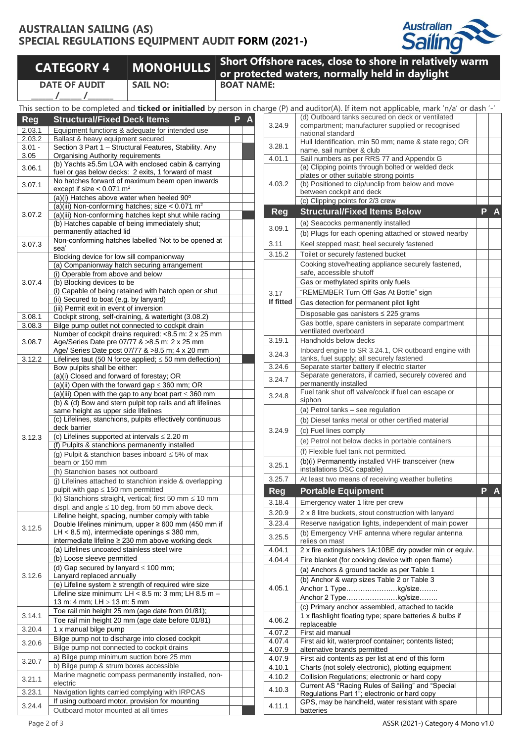## **AUSTRALIAN SAILING (AS) SPECIAL REGULATIONS EQUIPMENT AUDIT FORM (2021-)**



|            | <b>CATEGORY 4</b>                                                         | <b>MONOHULLS</b>                                               |                   |   |                                            | Short Offshore races, close to shore in relative<br>or protected waters, normally held in daylight                             |
|------------|---------------------------------------------------------------------------|----------------------------------------------------------------|-------------------|---|--------------------------------------------|--------------------------------------------------------------------------------------------------------------------------------|
|            | <b>DATE OF AUDIT</b><br>$\sqrt{2}$                                        | <b>SAIL NO:</b>                                                | <b>BOAT NAME:</b> |   |                                            |                                                                                                                                |
|            |                                                                           |                                                                |                   |   |                                            | This section to be completed and ticked or initialled by person in charge (P) and auditor(A). If item not applicable, mark 'n, |
| <b>Reg</b> | <b>Structural/Fixed Deck Items</b>                                        |                                                                | P                 | A |                                            | (d) Outboard tanks secured on deck or ventilate                                                                                |
| 2.03.1     |                                                                           | Equipment functions & adequate for intended use                |                   |   | 3.24.9                                     | compartment; manufacturer supplied or recognis                                                                                 |
| 2.03.2     | Ballast & heavy equipment secured                                         |                                                                |                   |   |                                            | national standard                                                                                                              |
| $3.01 -$   |                                                                           | Section 3 Part 1 - Structural Features, Stability. Any         |                   |   | 3.28.1                                     | Hull Identification, min 50 mm; name & state reg<br>name, sail number & club                                                   |
| 3.05       | Organising Authority requirements                                         |                                                                |                   |   | 4.01.1                                     | Sail numbers as per RRS 77 and Appendix G                                                                                      |
| 3.06.1     |                                                                           | (b) Yachts ≥5.5m LOA with enclosed cabin & carrying            |                   |   |                                            | (a) Clipping points through bolted or welded dec                                                                               |
|            |                                                                           | fuel or gas below decks: 2 exits, 1 forward of mast            |                   |   |                                            | plates or other suitable strong points                                                                                         |
| 3.07.1     | except if size $< 0.071$ m <sup>2</sup>                                   | No hatches forward of maximum beam open inwards                |                   |   | 4.03.2                                     | (b) Positioned to clip/unclip from below and mov                                                                               |
|            |                                                                           | (a)(i) Hatches above water when heeled 90°                     |                   |   |                                            | between cockpit and deck                                                                                                       |
|            |                                                                           | (a)(iii) Non-conforming hatches; size $< 0.071$ m <sup>2</sup> |                   |   |                                            | (c) Clipping points for 2/3 crew                                                                                               |
| 3.07.2     |                                                                           | (a)(iii) Non-conforming hatches kept shut while racing         |                   |   | <b>Reg</b>                                 | <b>Structural/Fixed Items Below</b>                                                                                            |
|            |                                                                           | (b) Hatches capable of being immediately shut;                 |                   |   |                                            | (a) Seacocks permanently installed                                                                                             |
|            | permanently attached lid                                                  |                                                                |                   |   | 3.09.1                                     | (b) Plugs for each opening attached or stowed n                                                                                |
| 3.07.3     |                                                                           | Non-conforming hatches labelled 'Not to be opened at           |                   |   | 3.11                                       | Keel stepped mast; heel securely fastened                                                                                      |
|            | sea'                                                                      |                                                                |                   |   | 3.15.2                                     | Toilet or securely fastened bucket                                                                                             |
|            | Blocking device for low sill companionway                                 |                                                                |                   |   |                                            | Cooking stove/heating appliance securely faster                                                                                |
|            |                                                                           | (a) Companionway hatch securing arrangement                    |                   |   |                                            | safe, accessible shutoff                                                                                                       |
| 3.07.4     | (i) Operable from above and below<br>(b) Blocking devices to be           |                                                                |                   |   |                                            | Gas or methylated spirits only fuels                                                                                           |
|            |                                                                           | (i) Capable of being retained with hatch open or shut          |                   |   |                                            | "REMEMBER Turn Off Gas At Bottle" sign                                                                                         |
|            | (ii) Secured to boat (e.g. by lanyard)                                    |                                                                |                   |   | 3.17<br>If fitted                          |                                                                                                                                |
|            | (iii) Permit exit in event of inversion                                   |                                                                |                   |   |                                            | Gas detection for permanent pilot light                                                                                        |
| 3.08.1     |                                                                           | Cockpit strong, self-draining, & watertight (3.08.2)           |                   |   |                                            | Disposable gas canisters $\leq$ 225 grams                                                                                      |
| 3.08.3     |                                                                           | Bilge pump outlet not connected to cockpit drain               |                   |   |                                            | Gas bottle, spare canisters in separate comparti                                                                               |
|            |                                                                           | Number of cockpit drains required: <8.5 m: 2 x 25 mm           |                   |   |                                            | ventilated overboard                                                                                                           |
| 3.08.7     |                                                                           | Age/Series Date pre 07/77 & >8.5 m; 2 x 25 mm                  |                   |   | 3.19.1                                     | Handholds below decks                                                                                                          |
|            |                                                                           | Age/ Series Date post 07/77 & >8.5 m; 4 x 20 mm                |                   |   | 3.24.3                                     | Inboard engine to SR 3.24.1, OR outboard engin                                                                                 |
| 3.12.2     |                                                                           | Lifelines taut (50 N force applied; $\leq$ 50 mm deflection)   |                   |   | 3.24.6                                     | tanks, fuel supply; all securely fastened<br>Separate starter battery if electric starter                                      |
|            | Bow pulpits shall be either:<br>(a)(i) Closed and forward of forestay; OR |                                                                |                   |   |                                            | Separate generators, if carried, securely covere                                                                               |
|            |                                                                           | (a)(ii) Open with the forward gap $\leq$ 360 mm; OR            |                   |   | 3.24.7                                     | permanently installed                                                                                                          |
|            |                                                                           | (a)(iii) Open with the gap to any boat part $\leq$ 360 mm      |                   |   | 3.24.8                                     | Fuel tank shut off valve/cock if fuel can escape of                                                                            |
|            |                                                                           | (b) & (d) Bow and stern pulpit top rails and aft lifelines     |                   |   |                                            | siphon                                                                                                                         |
|            | same height as upper side lifelines                                       |                                                                |                   |   |                                            | (a) Petrol tanks - see regulation                                                                                              |
|            |                                                                           | (c) Lifelines, stanchions, pulpits effectively continuous      |                   |   |                                            | (b) Diesel tanks metal or other certified material                                                                             |
|            | deck barrier                                                              |                                                                |                   |   | 3.24.9                                     | (c) Fuel lines comply                                                                                                          |
| 3.12.3     | (c) Lifelines supported at intervals $\leq$ 2.20 m                        |                                                                |                   |   |                                            | (e) Petrol not below decks in portable containers                                                                              |
|            |                                                                           | (f) Pulpits & stanchions permanently installed                 |                   |   |                                            | (f) Flexible fuel tank not permitted.                                                                                          |
|            |                                                                           | (g) Pulpit & stanchion bases inboard $\leq$ 5% of max          |                   |   |                                            | (b)(i) Permanently installed VHF transceiver (ne                                                                               |
|            | beam or 150 mm                                                            |                                                                |                   |   | 3.25.1                                     | installations DSC capable)                                                                                                     |
|            | (h) Stanchion bases not outboard                                          | (j) Lifelines attached to stanchion inside & overlapping       |                   |   | 3.25.7                                     | At least two means of receiving weather bulletin                                                                               |
|            | pulpit with gap $\leq$ 150 mm permitted                                   |                                                                |                   |   |                                            |                                                                                                                                |
|            |                                                                           | (k) Stanchions straight, vertical; first 50 mm $\leq$ 10 mm    |                   |   | <b>Reg</b>                                 | <b>Portable Equipment</b>                                                                                                      |
|            |                                                                           | displ. and angle $\leq 10$ deg. from 50 mm above deck.         |                   |   | 3.18.4                                     | Emergency water 1 litre per crew                                                                                               |
|            |                                                                           | Lifeline height, spacing, number comply with table             |                   |   | 3.20.9                                     | 2 x 8 litre buckets, stout construction with lanyar                                                                            |
|            |                                                                           | Double lifelines minimum, upper $\geq 600$ mm (450 mm if       |                   |   | 3.23.4                                     | Reserve navigation lights, independent of main                                                                                 |
| 3.12.5     |                                                                           | LH < 8.5 m), intermediate openings $\leq$ 380 mm,              |                   |   |                                            | (b) Emergency VHF antenna where regular ante                                                                                   |
|            |                                                                           | intermediate lifeline ≥ 230 mm above working deck              |                   |   | 3.25.5                                     | relies on mast                                                                                                                 |
|            | (a) Lifelines uncoated stainless steel wire                               |                                                                |                   |   | 4.04.1                                     | 2 x fire extinguishers 1A:10BE dry powder min o                                                                                |
|            | (b) Loose sleeve permitted                                                |                                                                |                   |   | 4.04.4                                     | Fire blanket (for cooking device with open flame                                                                               |
|            | (d) Gap secured by lanyard $\leq 100$ mm;                                 |                                                                |                   |   |                                            | (a) Anchors & ground tackle as per Table 1                                                                                     |
| 3.12.6     | Lanyard replaced annually                                                 |                                                                |                   |   | (b) Anchor & warp sizes Table 2 or Table 3 |                                                                                                                                |
|            |                                                                           | (e) Lifeline system ≥ strength of required wire size           |                   |   | 4.05.1                                     | Anchor 1 Typekg/size                                                                                                           |
|            |                                                                           | Lifeline size minimum: LH < 8.5 m: 3 mm; LH 8.5 m -            |                   |   |                                            | Anchor 2 Typekg/size                                                                                                           |
|            | 13 m: 4 mm; LH > 13 m: 5 mm                                               |                                                                |                   |   |                                            | (c) Primary anchor assembled, attached to tackl                                                                                |
| 3.14.1     |                                                                           | Toe rail min height 25 mm (age date from 01/81);               |                   |   |                                            | 1 x flashlight floating type; spare batteries & bull                                                                           |
|            |                                                                           | Toe rail min height 20 mm (age date before 01/81)              |                   |   | 4.06.2                                     | replaceable                                                                                                                    |
| 3.20.4     | 1 x manual bilge pump                                                     |                                                                |                   |   | 4.07.2                                     | First aid manual                                                                                                               |
| 3.20.6     |                                                                           | Bilge pump not to discharge into closed cockpit                |                   |   | 4.07.4                                     | First aid kit, waterproof container; contents listed                                                                           |
|            | Bilge pump not connected to cockpit drains                                |                                                                |                   |   | 4.07.9                                     | alternative brands permitted                                                                                                   |
| 3.20.7     | a) Bilge pump minimum suction bore 25 mm                                  |                                                                |                   |   | 4.07.9                                     | First aid contents as per list at end of this form                                                                             |

|          |                                                                                                                                                                    |                                                                                                                       |                   |            | This section to be completed and <b>ticked or initialled</b> by person in charge (P) and auditor(A). If item not applicable, mark 'n/a' or dash '-' |   |              |
|----------|--------------------------------------------------------------------------------------------------------------------------------------------------------------------|-----------------------------------------------------------------------------------------------------------------------|-------------------|------------|-----------------------------------------------------------------------------------------------------------------------------------------------------|---|--------------|
| Reg      | <b>Structural/Fixed Deck Items</b>                                                                                                                                 |                                                                                                                       | P<br>$\mathbf{A}$ |            | (d) Outboard tanks secured on deck or ventilated                                                                                                    |   |              |
| 2.03.1   |                                                                                                                                                                    | Equipment functions & adequate for intended use                                                                       |                   | 3.24.9     | compartment; manufacturer supplied or recognised                                                                                                    |   |              |
| 2.03.2   | Ballast & heavy equipment secured                                                                                                                                  |                                                                                                                       |                   |            | national standard<br>Hull Identification, min 50 mm; name & state rego; OR                                                                          |   |              |
| $3.01 -$ |                                                                                                                                                                    | Section 3 Part 1 - Structural Features, Stability. Any                                                                |                   | 3.28.1     | name, sail number & club                                                                                                                            |   |              |
| 3.05     | Organising Authority requirements                                                                                                                                  |                                                                                                                       |                   | 4.01.1     | Sail numbers as per RRS 77 and Appendix G                                                                                                           |   |              |
| 3.06.1   | (b) Yachts ≥5.5m LOA with enclosed cabin & carrying<br>fuel or gas below decks: 2 exits, 1 forward of mast                                                         |                                                                                                                       |                   |            | (a) Clipping points through bolted or welded deck                                                                                                   |   |              |
|          |                                                                                                                                                                    | No hatches forward of maximum beam open inwards                                                                       |                   |            | plates or other suitable strong points                                                                                                              |   |              |
| 3.07.1   | except if size $< 0.071$ m <sup>2</sup>                                                                                                                            |                                                                                                                       |                   | 4.03.2     | (b) Positioned to clip/unclip from below and move                                                                                                   |   |              |
|          | (a)(i) Hatches above water when heeled 90°                                                                                                                         |                                                                                                                       |                   |            | between cockpit and deck<br>(c) Clipping points for 2/3 crew                                                                                        |   |              |
|          |                                                                                                                                                                    | (a)(iii) Non-conforming hatches; size $< 0.071$ m <sup>2</sup>                                                        |                   |            |                                                                                                                                                     | P |              |
| 3.07.2   |                                                                                                                                                                    | (a)(iii) Non-conforming hatches kept shut while racing                                                                |                   | <b>Reg</b> | <b>Structural/Fixed Items Below</b>                                                                                                                 |   |              |
|          | (b) Hatches capable of being immediately shut;                                                                                                                     |                                                                                                                       |                   | 3.09.1     | (a) Seacocks permanently installed                                                                                                                  |   |              |
|          | permanently attached lid                                                                                                                                           | Non-conforming hatches labelled 'Not to be opened at                                                                  |                   |            | (b) Plugs for each opening attached or stowed nearby                                                                                                |   |              |
| 3.07.3   | sea'                                                                                                                                                               |                                                                                                                       |                   | 3.11       | Keel stepped mast; heel securely fastened                                                                                                           |   |              |
|          | Blocking device for low sill companionway                                                                                                                          |                                                                                                                       |                   | 3.15.2     | Toilet or securely fastened bucket                                                                                                                  |   |              |
|          |                                                                                                                                                                    | (a) Companionway hatch securing arrangement                                                                           |                   |            | Cooking stove/heating appliance securely fastened,                                                                                                  |   |              |
|          | (i) Operable from above and below<br>(b) Blocking devices to be<br>(i) Capable of being retained with hatch open or shut<br>(ii) Secured to boat (e.g. by lanyard) |                                                                                                                       |                   |            | safe, accessible shutoff                                                                                                                            |   |              |
| 3.07.4   |                                                                                                                                                                    |                                                                                                                       |                   |            | Gas or methylated spirits only fuels                                                                                                                |   |              |
|          |                                                                                                                                                                    |                                                                                                                       |                   | 3.17       | "REMEMBER Turn Off Gas At Bottle" sign                                                                                                              |   |              |
|          | (iii) Permit exit in event of inversion                                                                                                                            |                                                                                                                       |                   | If fitted  | Gas detection for permanent pilot light                                                                                                             |   |              |
| 3.08.1   |                                                                                                                                                                    | Cockpit strong, self-draining, & watertight (3.08.2)                                                                  |                   |            | Disposable gas canisters $\leq$ 225 grams                                                                                                           |   |              |
| 3.08.3   |                                                                                                                                                                    | Bilge pump outlet not connected to cockpit drain                                                                      |                   |            | Gas bottle, spare canisters in separate compartment                                                                                                 |   |              |
|          |                                                                                                                                                                    | Number of cockpit drains required: <8.5 m: 2 x 25 mm                                                                  |                   |            | ventilated overboard                                                                                                                                |   |              |
| 3.08.7   |                                                                                                                                                                    | Age/Series Date pre 07/77 & >8.5 m; 2 x 25 mm                                                                         |                   | 3.19.1     | Handholds below decks                                                                                                                               |   |              |
| 3.12.2   |                                                                                                                                                                    | Age/ Series Date post 07/77 & >8.5 m; 4 x 20 mm                                                                       |                   | 3.24.3     | Inboard engine to SR 3.24.1, OR outboard engine with<br>tanks, fuel supply; all securely fastened                                                   |   |              |
|          | Bow pulpits shall be either:                                                                                                                                       | Lifelines taut (50 N force applied; $\leq$ 50 mm deflection)                                                          |                   | 3.24.6     | Separate starter battery if electric starter                                                                                                        |   |              |
|          | (a)(i) Closed and forward of forestay; OR                                                                                                                          |                                                                                                                       |                   |            | Separate generators, if carried, securely covered and                                                                                               |   |              |
|          |                                                                                                                                                                    | (a)(ii) Open with the forward gap $\leq$ 360 mm; OR                                                                   |                   | 3.24.7     | permanently installed                                                                                                                               |   |              |
|          |                                                                                                                                                                    | (a)(iii) Open with the gap to any boat part $\leq$ 360 mm                                                             |                   | 3.24.8     | Fuel tank shut off valve/cock if fuel can escape or                                                                                                 |   |              |
|          |                                                                                                                                                                    | (b) & (d) Bow and stern pulpit top rails and aft lifelines                                                            |                   |            | siphon                                                                                                                                              |   |              |
|          | same height as upper side lifelines                                                                                                                                |                                                                                                                       |                   |            | (a) Petrol tanks - see regulation                                                                                                                   |   |              |
|          | deck barrier                                                                                                                                                       | (c) Lifelines, stanchions, pulpits effectively continuous                                                             |                   |            | (b) Diesel tanks metal or other certified material                                                                                                  |   |              |
| 3.12.3   | (c) Lifelines supported at intervals $\leq$ 2.20 m                                                                                                                 |                                                                                                                       |                   | 3.24.9     | (c) Fuel lines comply                                                                                                                               |   |              |
|          | (f) Pulpits & stanchions permanently installed                                                                                                                     |                                                                                                                       |                   |            | (e) Petrol not below decks in portable containers                                                                                                   |   |              |
|          | (g) Pulpit & stanchion bases inboard $\leq$ 5% of max                                                                                                              |                                                                                                                       |                   |            | (f) Flexible fuel tank not permitted.                                                                                                               |   |              |
|          | beam or 150 mm                                                                                                                                                     |                                                                                                                       |                   | 3.25.1     | (b)(i) Permanently installed VHF transceiver (new                                                                                                   |   |              |
|          | (h) Stanchion bases not outboard                                                                                                                                   |                                                                                                                       |                   |            | installations DSC capable)                                                                                                                          |   |              |
|          |                                                                                                                                                                    | (j) Lifelines attached to stanchion inside & overlapping                                                              |                   | 3.25.7     | At least two means of receiving weather bulletins                                                                                                   |   |              |
|          | pulpit with gap $\leq$ 150 mm permitted                                                                                                                            |                                                                                                                       |                   | <b>Reg</b> | <b>Portable Equipment</b>                                                                                                                           | P | $\mathbf{A}$ |
|          |                                                                                                                                                                    | (k) Stanchions straight, vertical; first 50 mm $\leq 10$ mm<br>displ. and angle $\leq 10$ deg. from 50 mm above deck. |                   | 3.18.4     | Emergency water 1 litre per crew                                                                                                                    |   |              |
|          |                                                                                                                                                                    | Lifeline height, spacing, number comply with table                                                                    |                   | 3.20.9     | 2 x 8 litre buckets, stout construction with lanyard                                                                                                |   |              |
|          |                                                                                                                                                                    | Double lifelines minimum, upper ≥ 600 mm (450 mm if                                                                   |                   | 3.23.4     | Reserve navigation lights, independent of main power                                                                                                |   |              |
| 3.12.5   |                                                                                                                                                                    | LH < 8.5 m), intermediate openings $\leq$ 380 mm,                                                                     |                   | 3.25.5     | (b) Emergency VHF antenna where regular antenna                                                                                                     |   |              |
|          |                                                                                                                                                                    | intermediate lifeline ≥ 230 mm above working deck                                                                     |                   |            | relies on mast                                                                                                                                      |   |              |
|          | (a) Lifelines uncoated stainless steel wire                                                                                                                        |                                                                                                                       |                   | 4.04.1     | 2 x fire extinguishers 1A:10BE dry powder min or equiv.                                                                                             |   |              |
|          | (b) Loose sleeve permitted                                                                                                                                         |                                                                                                                       |                   | 4.04.4     | Fire blanket (for cooking device with open flame)                                                                                                   |   |              |
| 3.12.6   | (d) Gap secured by lanyard $\leq 100$ mm;<br>Lanyard replaced annually                                                                                             |                                                                                                                       |                   |            | (a) Anchors & ground tackle as per Table 1                                                                                                          |   |              |
|          |                                                                                                                                                                    | (e) Lifeline system ≥ strength of required wire size                                                                  |                   |            | (b) Anchor & warp sizes Table 2 or Table 3                                                                                                          |   |              |
|          |                                                                                                                                                                    | Lifeline size minimum: LH < 8.5 m: 3 mm; LH 8.5 m -                                                                   |                   | 4.05.1     | Anchor 1 Typekg/size                                                                                                                                |   |              |
|          | 13 m: 4 mm; LH > 13 m: 5 mm                                                                                                                                        |                                                                                                                       |                   |            | Anchor 2 Typekg/size                                                                                                                                |   |              |
| 3.14.1   |                                                                                                                                                                    | Toe rail min height 25 mm (age date from 01/81);                                                                      |                   |            | (c) Primary anchor assembled, attached to tackle                                                                                                    |   |              |
|          |                                                                                                                                                                    | Toe rail min height 20 mm (age date before 01/81)                                                                     |                   | 4.06.2     | 1 x flashlight floating type; spare batteries & bulbs if<br>replaceable                                                                             |   |              |
| 3.20.4   | 1 x manual bilge pump                                                                                                                                              |                                                                                                                       |                   | 4.07.2     | First aid manual                                                                                                                                    |   |              |
| 3.20.6   | Bilge pump not to discharge into closed cockpit                                                                                                                    |                                                                                                                       |                   | 4.07.4     | First aid kit, waterproof container; contents listed;                                                                                               |   |              |
|          | Bilge pump not connected to cockpit drains                                                                                                                         |                                                                                                                       |                   | 4.07.9     | alternative brands permitted                                                                                                                        |   |              |
| 3.20.7   | a) Bilge pump minimum suction bore 25 mm                                                                                                                           |                                                                                                                       |                   | 4.07.9     | First aid contents as per list at end of this form                                                                                                  |   |              |
|          | b) Bilge pump & strum boxes accessible                                                                                                                             | Marine magnetic compass permanently installed, non-                                                                   |                   | 4.10.1     | Charts (not solely electronic), plotting equipment                                                                                                  |   |              |
| 3.21.1   | electric                                                                                                                                                           |                                                                                                                       |                   | 4.10.2     | Collision Regulations; electronic or hard copy                                                                                                      |   |              |
| 3.23.1   |                                                                                                                                                                    | Navigation lights carried complying with IRPCAS                                                                       |                   | 4.10.3     | Current AS "Racing Rules of Sailing" and "Special<br>Regulations Part 1"; electronic or hard copy                                                   |   |              |
|          | If using outboard motor, provision for mounting                                                                                                                    |                                                                                                                       |                   |            | GPS, may be handheld, water resistant with spare                                                                                                    |   |              |
| 3.24.4   | Outboard motor mounted at all times                                                                                                                                |                                                                                                                       |                   | 4.11.1     | batteries                                                                                                                                           |   |              |